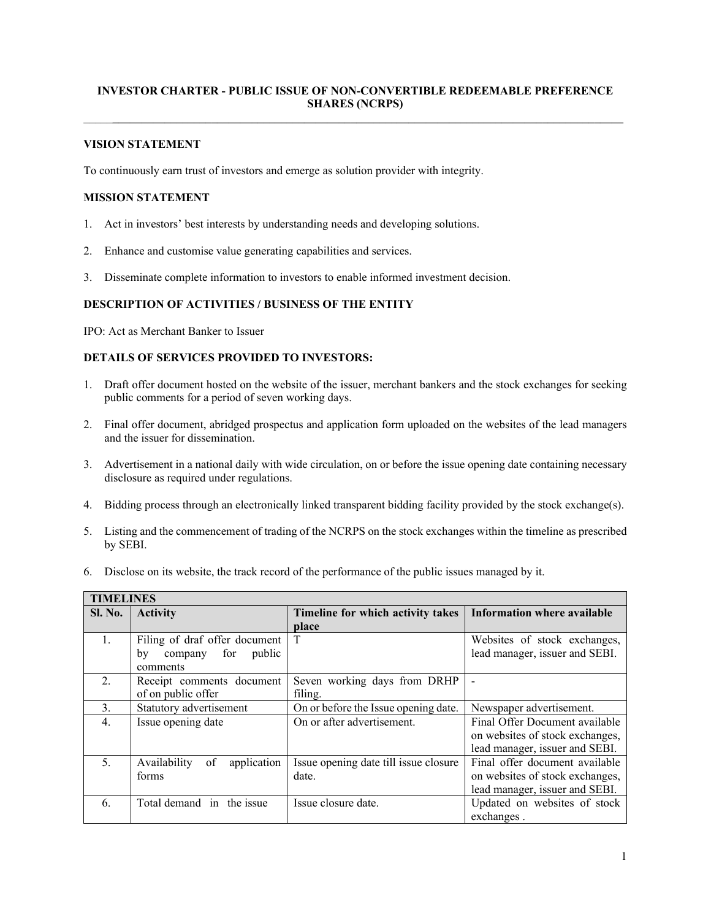### **INVESTOR CHARTER - PUBLIC ISSUE OF NON-CONVERTIBLE REDEEMABLE PREFERENCE SHARES (NCRPS)**   $\mathcal{L}_\mathcal{L} = \mathcal{L}_\mathcal{L} = \mathcal{L}_\mathcal{L} = \mathcal{L}_\mathcal{L} = \mathcal{L}_\mathcal{L} = \mathcal{L}_\mathcal{L} = \mathcal{L}_\mathcal{L} = \mathcal{L}_\mathcal{L} = \mathcal{L}_\mathcal{L} = \mathcal{L}_\mathcal{L} = \mathcal{L}_\mathcal{L} = \mathcal{L}_\mathcal{L} = \mathcal{L}_\mathcal{L} = \mathcal{L}_\mathcal{L} = \mathcal{L}_\mathcal{L} = \mathcal{L}_\mathcal{L} = \mathcal{L}_\mathcal{L}$

#### **VISION STATEMENT**

To continuously earn trust of investors and emerge as solution provider with integrity.

#### **MISSION STATEMENT**

- 1. Act in investors' best interests by understanding needs and developing solutions.
- 2. Enhance and customise value generating capabilities and services.
- 3. Disseminate complete information to investors to enable informed investment decision.

#### **DESCRIPTION OF ACTIVITIES / BUSINESS OF THE ENTITY**

IPO: Act as Merchant Banker to Issuer

## **DETAILS OF SERVICES PROVIDED TO INVESTORS:**

- 1. Draft offer document hosted on the website of the issuer, merchant bankers and the stock exchanges for seeking public comments for a period of seven working days.
- 2. Final offer document, abridged prospectus and application form uploaded on the websites of the lead managers and the issuer for dissemination.
- 3. Advertisement in a national daily with wide circulation, on or before the issue opening date containing necessary disclosure as required under regulations.
- 4. Bidding process through an electronically linked transparent bidding facility provided by the stock exchange(s).
- 5. Listing and the commencement of trading of the NCRPS on the stock exchanges within the timeline as prescribed by SEBI.
- 6. Disclose on its website, the track record of the performance of the public issues managed by it.

| <b>TIMELINES</b> |                                   |                                       |                                    |  |  |  |
|------------------|-----------------------------------|---------------------------------------|------------------------------------|--|--|--|
| <b>Sl. No.</b>   | <b>Activity</b>                   | Timeline for which activity takes     | <b>Information where available</b> |  |  |  |
|                  |                                   | place                                 |                                    |  |  |  |
| $\mathbf{1}$ .   | Filing of draf offer document     | T                                     | Websites of stock exchanges,       |  |  |  |
|                  | public<br>company for<br>by       |                                       | lead manager, issuer and SEBI.     |  |  |  |
|                  | comments                          |                                       |                                    |  |  |  |
| $2$ .            | Receipt comments document         | Seven working days from DRHP          | Ē,                                 |  |  |  |
|                  | of on public offer                | filing.                               |                                    |  |  |  |
| 3 <sub>1</sub>   | Statutory advertisement           | On or before the Issue opening date.  | Newspaper advertisement.           |  |  |  |
| $\overline{4}$ . | Issue opening date                | On or after advertisement.            | Final Offer Document available     |  |  |  |
|                  |                                   |                                       | on websites of stock exchanges,    |  |  |  |
|                  |                                   |                                       | lead manager, issuer and SEBI.     |  |  |  |
| 5                | of<br>Availability<br>application | Issue opening date till issue closure | Final offer document available     |  |  |  |
|                  | forms                             | date.                                 | on websites of stock exchanges,    |  |  |  |
|                  |                                   |                                       | lead manager, issuer and SEBI.     |  |  |  |
| 6.               | Total demand in the issue         | Issue closure date.                   | Updated on websites of stock       |  |  |  |
|                  |                                   |                                       | exchanges.                         |  |  |  |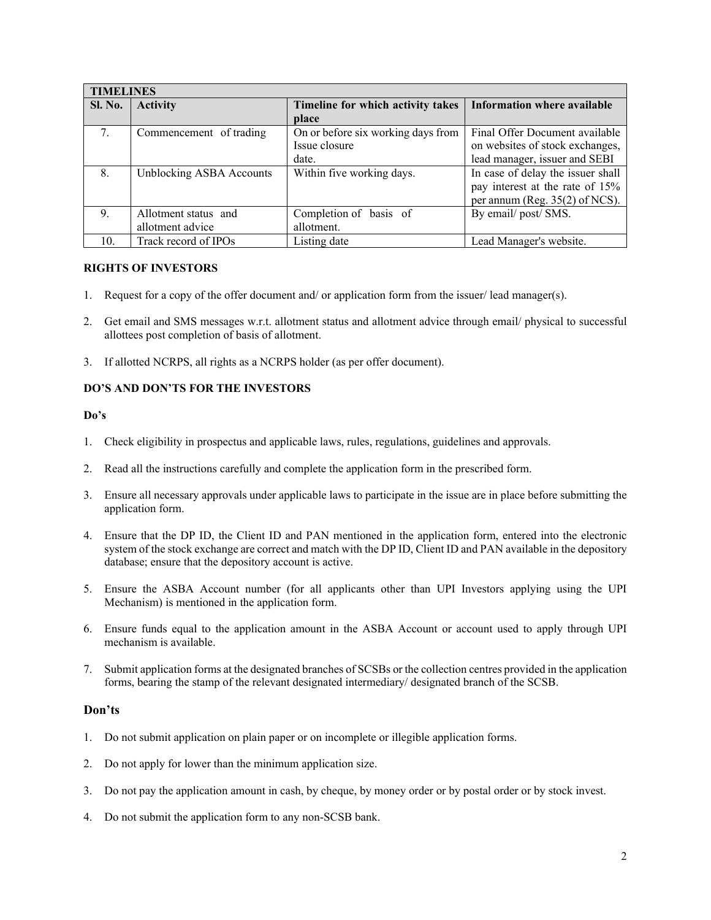| <b>TIMELINES</b> |                          |                                    |                                   |  |  |  |
|------------------|--------------------------|------------------------------------|-----------------------------------|--|--|--|
| <b>Sl. No.</b>   | <b>Activity</b>          | Timeline for which activity takes  | Information where available       |  |  |  |
|                  |                          | place                              |                                   |  |  |  |
| 7.               | Commencement of trading  | On or before six working days from | Final Offer Document available    |  |  |  |
|                  |                          | Issue closure                      | on websites of stock exchanges,   |  |  |  |
|                  |                          | date.                              | lead manager, issuer and SEBI     |  |  |  |
| 8.               | Unblocking ASBA Accounts | Within five working days.          | In case of delay the issuer shall |  |  |  |
|                  |                          |                                    | pay interest at the rate of 15%   |  |  |  |
|                  |                          |                                    | per annum (Reg. $35(2)$ of NCS).  |  |  |  |
| 9.               | Allotment status and     | Completion of basis of             | By email/post/SMS.                |  |  |  |
|                  | allotment advice         | allotment.                         |                                   |  |  |  |
| 10.              | Track record of IPOs     | Listing date                       | Lead Manager's website.           |  |  |  |

### **RIGHTS OF INVESTORS**

- 1. Request for a copy of the offer document and/ or application form from the issuer/ lead manager(s).
- 2. Get email and SMS messages w.r.t. allotment status and allotment advice through email/ physical to successful allottees post completion of basis of allotment.
- 3. If allotted NCRPS, all rights as a NCRPS holder (as per offer document).

### **DO'S AND DON'TS FOR THE INVESTORS**

### **Do's**

- 1. Check eligibility in prospectus and applicable laws, rules, regulations, guidelines and approvals.
- 2. Read all the instructions carefully and complete the application form in the prescribed form.
- 3. Ensure all necessary approvals under applicable laws to participate in the issue are in place before submitting the application form.
- 4. Ensure that the DP ID, the Client ID and PAN mentioned in the application form, entered into the electronic system of the stock exchange are correct and match with the DP ID, Client ID and PAN available in the depository database; ensure that the depository account is active.
- 5. Ensure the ASBA Account number (for all applicants other than UPI Investors applying using the UPI Mechanism) is mentioned in the application form.
- 6. Ensure funds equal to the application amount in the ASBA Account or account used to apply through UPI mechanism is available.
- 7. Submit application forms at the designated branches of SCSBs or the collection centres provided in the application forms, bearing the stamp of the relevant designated intermediary/ designated branch of the SCSB.

### **Don'ts**

- 1. Do not submit application on plain paper or on incomplete or illegible application forms.
- 2. Do not apply for lower than the minimum application size.
- 3. Do not pay the application amount in cash, by cheque, by money order or by postal order or by stock invest.
- 4. Do not submit the application form to any non-SCSB bank.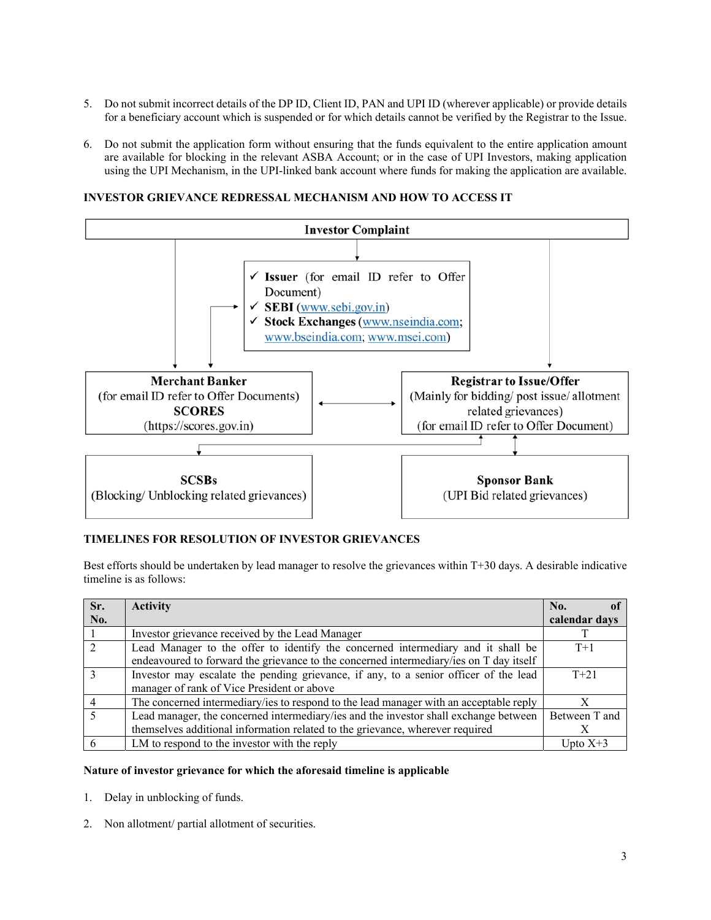- 5. Do not submit incorrect details of the DP ID, Client ID, PAN and UPI ID (wherever applicable) or provide details for a beneficiary account which is suspended or for which details cannot be verified by the Registrar to the Issue.
- 6. Do not submit the application form without ensuring that the funds equivalent to the entire application amount are available for blocking in the relevant ASBA Account; or in the case of UPI Investors, making application using the UPI Mechanism, in the UPI-linked bank account where funds for making the application are available.

#### **INVESTOR GRIEVANCE REDRESSAL MECHANISM AND HOW TO ACCESS IT**



#### **TIMELINES FOR RESOLUTION OF INVESTOR GRIEVANCES**

Best efforts should be undertaken by lead manager to resolve the grievances within T+30 days. A desirable indicative timeline is as follows:

| Sr.           | <b>Activity</b>                                                                                                                                                            | No.           |
|---------------|----------------------------------------------------------------------------------------------------------------------------------------------------------------------------|---------------|
| No.           |                                                                                                                                                                            | calendar days |
|               | Investor grievance received by the Lead Manager                                                                                                                            |               |
| $\mathcal{D}$ | Lead Manager to the offer to identify the concerned intermediary and it shall be<br>endeavoured to forward the grievance to the concerned intermediary/ies on T day itself | $T+1$         |
|               | Investor may escalate the pending grievance, if any, to a senior officer of the lead<br>manager of rank of Vice President or above                                         | $T + 21$      |
|               | The concerned intermediary/ies to respond to the lead manager with an acceptable reply                                                                                     |               |
|               | Lead manager, the concerned intermediary/ies and the investor shall exchange between<br>themselves additional information related to the grievance, wherever required      | Between T and |
|               | LM to respond to the investor with the reply                                                                                                                               | Upto $X+3$    |

#### **Nature of investor grievance for which the aforesaid timeline is applicable**

- 1. Delay in unblocking of funds.
- 2. Non allotment/ partial allotment of securities.